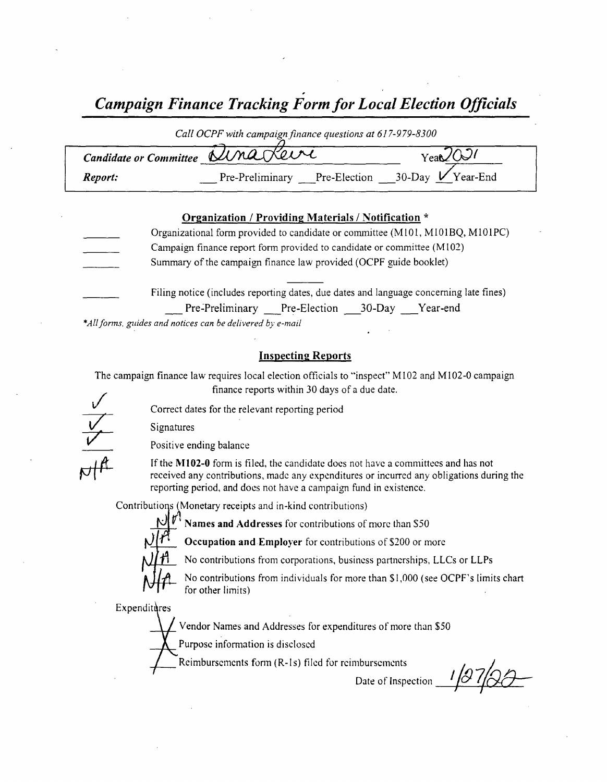Campaign Finance Tracking Form for Local Election Officials

| Call OCPF with campaign finance questions at 617-979-8300 |                                                    |        |  |
|-----------------------------------------------------------|----------------------------------------------------|--------|--|
| Candidate or Committee UMaRevi                            |                                                    | YeaQQQ |  |
| Report:                                                   | Pre-Preliminary Pre-Election __30-Day $V$ Year-End |        |  |

### Organization / Providing Materials/ Notification \*

Organizational form provided to candidate or committee ( M101, M101BQ, M101PC) Campaign finance report form provided to candidate or committee ( M102) Summary of the campaign finance law provided (OCPF guide booklet) Filing notice (includes reporting dates, due dates and language concerning late fines) Pre-Preliminary Pre-Election 30-Day Year-end

\*All forms, guides and notices can be delivered by e-mail

### Inspecting Reports

The campaign finance law requires local election officials to "inspect" M102 and M102-0 campaign finance reports within 30 days of <sup>a</sup> due date.

V

Correct dates for the relevant reporting period

Signatures



Positive ending balance

If the M102-0 form is filed, the candidate does not have a committees and has not received any contributions, made any expenditures or incurred any obligations during the reporting period, and does not have a campaign fund in existence.

Contributions ( Monetary receipts and in- kind contributions)



Names and Addresses for contributions of more than \$50

**Occupation and Employer** for contributions of \$200 or more

No contributions from corporations, business partnerships, LLCs or LLPs

 $\mathcal{M}$   $\mathcal{H}$  for other limits) No contributions from individuals for more than \$1,000 (see OCPF's limits chart

Expenditures

Vendor Names and Addresses for expenditures of more than \$50

Purpose information is disclosed

Reimbursements form( R- Is) filed for reimbursements

Date of Inspection  $\frac{1}{97}$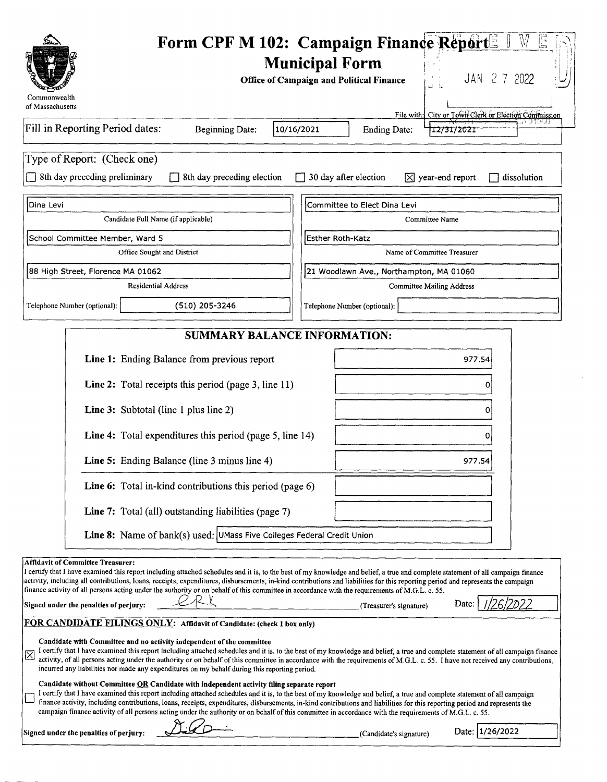| Form CPF M 102: Campaign Finance Report<br>V<br>G<br><b>Municipal Form</b><br>JAN 2 7 2022<br><b>Office of Campaign and Political Finance</b><br>Commonwealth<br>of Massachusetts                                                                                                                                                                                                                                                                                                                                                                                                                                                                                                                                          |  |  |  |  |
|----------------------------------------------------------------------------------------------------------------------------------------------------------------------------------------------------------------------------------------------------------------------------------------------------------------------------------------------------------------------------------------------------------------------------------------------------------------------------------------------------------------------------------------------------------------------------------------------------------------------------------------------------------------------------------------------------------------------------|--|--|--|--|
| File with: City or Town Clerk or Election Commission<br>IA OTOGO<br>Fill in Reporting Period dates:<br><b>Beginning Date:</b><br>10/16/2021<br><b>Ending Date:</b><br>12/31/2021                                                                                                                                                                                                                                                                                                                                                                                                                                                                                                                                           |  |  |  |  |
| Type of Report: (Check one)<br>8th day preceding preliminary<br>8th day preceding election<br>30 day after election<br>$\overline{X}$ year-end report<br>dissolution                                                                                                                                                                                                                                                                                                                                                                                                                                                                                                                                                       |  |  |  |  |
| Dina Levi<br>Committee to Elect Dina Levi                                                                                                                                                                                                                                                                                                                                                                                                                                                                                                                                                                                                                                                                                  |  |  |  |  |
| Candidate Full Name (if applicable)<br>Committee Name                                                                                                                                                                                                                                                                                                                                                                                                                                                                                                                                                                                                                                                                      |  |  |  |  |
| School Committee Member, Ward 5<br><b>Esther Roth-Katz</b><br>Name of Committee Treasurer<br>Office Sought and District                                                                                                                                                                                                                                                                                                                                                                                                                                                                                                                                                                                                    |  |  |  |  |
| 88 High Street, Florence MA 01062<br>21 Woodlawn Ave., Northampton, MA 01060                                                                                                                                                                                                                                                                                                                                                                                                                                                                                                                                                                                                                                               |  |  |  |  |
| <b>Residential Address</b><br><b>Committee Mailing Address</b>                                                                                                                                                                                                                                                                                                                                                                                                                                                                                                                                                                                                                                                             |  |  |  |  |
| (510) 205-3246<br>Telephone Number (optional):<br>Telephone Number (optional):                                                                                                                                                                                                                                                                                                                                                                                                                                                                                                                                                                                                                                             |  |  |  |  |
| <b>SUMMARY BALANCE INFORMATION:</b>                                                                                                                                                                                                                                                                                                                                                                                                                                                                                                                                                                                                                                                                                        |  |  |  |  |
| Line 1: Ending Balance from previous report<br>977.54                                                                                                                                                                                                                                                                                                                                                                                                                                                                                                                                                                                                                                                                      |  |  |  |  |
| Line 2: Total receipts this period (page 3, line 11)<br>n                                                                                                                                                                                                                                                                                                                                                                                                                                                                                                                                                                                                                                                                  |  |  |  |  |
| Line 3: Subtotal (line 1 plus line 2)                                                                                                                                                                                                                                                                                                                                                                                                                                                                                                                                                                                                                                                                                      |  |  |  |  |
| Line 4: Total expenditures this period (page 5, line 14)                                                                                                                                                                                                                                                                                                                                                                                                                                                                                                                                                                                                                                                                   |  |  |  |  |
| Line 5: Ending Balance (line 3 minus line 4)<br>977.54                                                                                                                                                                                                                                                                                                                                                                                                                                                                                                                                                                                                                                                                     |  |  |  |  |
| Line 6: Total in-kind contributions this period (page 6)                                                                                                                                                                                                                                                                                                                                                                                                                                                                                                                                                                                                                                                                   |  |  |  |  |
| Line 7: Total (all) outstanding liabilities (page 7)                                                                                                                                                                                                                                                                                                                                                                                                                                                                                                                                                                                                                                                                       |  |  |  |  |
| Line 8: Name of bank(s) used: UMass Five Colleges Federal Credit Union                                                                                                                                                                                                                                                                                                                                                                                                                                                                                                                                                                                                                                                     |  |  |  |  |
| <b>Affidavit of Committee Treasurer:</b><br>I certify that I have examined this report including attached schedules and it is, to the best of my knowledge and belief, a true and complete statement of all campaign finance<br>activity, including all contributions, loans, receipts, expenditures, disbursements, in-kind contributions and liabilities for this reporting period and represents the campaign<br>finance activity of all persons acting under the authority or on behalf of this committee in accordance with the requirements of M.G.L. c. 55.<br>Date:<br>Signed under the penalties of perjury:<br>(Treasurer's signature)<br>FOR CANDIDATE FILINGS ONLY: Affidavit of Candidate: (check 1 box only) |  |  |  |  |
| Candidate with Committee and no activity independent of the committee<br>I certify that I have examined this report including attached schedules and it is, to the best of my knowledge and belief, a true and complete statement of all campaign finance<br>⊠<br>activity, of all persons acting under the authority or on behalf of this committee in accordance with the requirements of M.G.L. c. 55. I have not received any contributions,<br>incurred any liabilities nor made any expenditures on my behalf during this reporting period.                                                                                                                                                                          |  |  |  |  |
| Candidate without Committee OR Candidate with independent activity filing separate report<br>I certify that I have examined this report including attached schedules and it is, to the best of my knowledge and belief, a true and complete statement of all campaign<br>finance activity, including contributions, loans, receipts, expenditures, disbursements, in-kind contributions and liabilities for this reporting period and represents the<br>campaign finance activity of all persons acting under the authority or on behalf of this committee in accordance with the requirements of M.G.L. c. 55.                                                                                                            |  |  |  |  |
| Date: 1/26/2022<br>Signed under the penalties of perjury:<br>(Candidate's signature)                                                                                                                                                                                                                                                                                                                                                                                                                                                                                                                                                                                                                                       |  |  |  |  |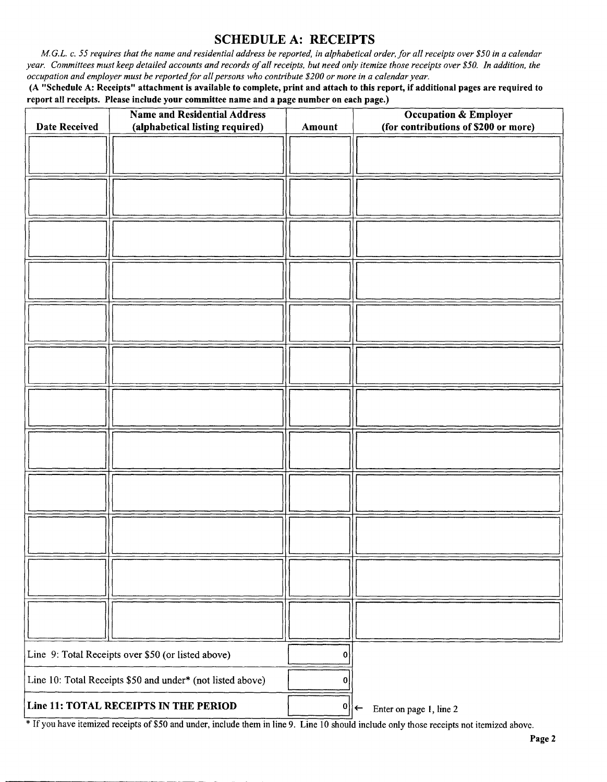# SCHEDULE A: RECEIPTS

M.G.L. c. 55 requires that the name and residential address be reported, in alphabetical order, for all receipts over \$50 in a calendar year. Committees must keep detailed accounts and records of all receipts, but need only itemize those receipts over\$ 50. In addition, the occupation and employer must be reported for all persons who contribute\$ 200 or more in <sup>a</sup> calendar year.

A" Schedule A: Receipts" attachment is available to complete, print and attach to this report, if additional pages are required to report all receipts. Please include your committee name and a page number on each page.)

| <b>Date Received</b>                                       | <b>Name and Residential Address</b> |                  | <b>Occupation &amp; Employer</b><br>(for contributions of \$200 or more) |
|------------------------------------------------------------|-------------------------------------|------------------|--------------------------------------------------------------------------|
|                                                            | (alphabetical listing required)     | Amount           |                                                                          |
|                                                            |                                     |                  |                                                                          |
|                                                            |                                     |                  |                                                                          |
|                                                            |                                     |                  |                                                                          |
|                                                            |                                     |                  |                                                                          |
|                                                            |                                     |                  |                                                                          |
|                                                            |                                     |                  |                                                                          |
|                                                            |                                     |                  |                                                                          |
|                                                            |                                     |                  |                                                                          |
|                                                            |                                     |                  |                                                                          |
|                                                            |                                     |                  |                                                                          |
|                                                            |                                     |                  |                                                                          |
|                                                            |                                     |                  |                                                                          |
|                                                            |                                     |                  |                                                                          |
|                                                            |                                     |                  |                                                                          |
|                                                            |                                     |                  |                                                                          |
|                                                            |                                     |                  |                                                                          |
|                                                            |                                     |                  |                                                                          |
|                                                            |                                     |                  |                                                                          |
|                                                            |                                     |                  |                                                                          |
|                                                            |                                     |                  |                                                                          |
|                                                            |                                     |                  |                                                                          |
|                                                            |                                     |                  |                                                                          |
|                                                            |                                     |                  |                                                                          |
|                                                            |                                     |                  |                                                                          |
|                                                            |                                     |                  |                                                                          |
|                                                            |                                     |                  |                                                                          |
|                                                            |                                     |                  |                                                                          |
|                                                            |                                     |                  |                                                                          |
|                                                            |                                     |                  |                                                                          |
| Line 9: Total Receipts over \$50 (or listed above)         |                                     | $\mathbf{0}$     |                                                                          |
| Line 10: Total Receipts \$50 and under* (not listed above) |                                     | $\boldsymbol{0}$ |                                                                          |
| Line 11: TOTAL RECEIPTS IN THE PERIOD                      |                                     | 0                | Enter on page 1, line 2<br>$\rightarrow$                                 |

If you have itemized receipts of\$ <sup>50</sup> and under, include them in line 9. Line <sup>10</sup> should include only those receipts not itemized above.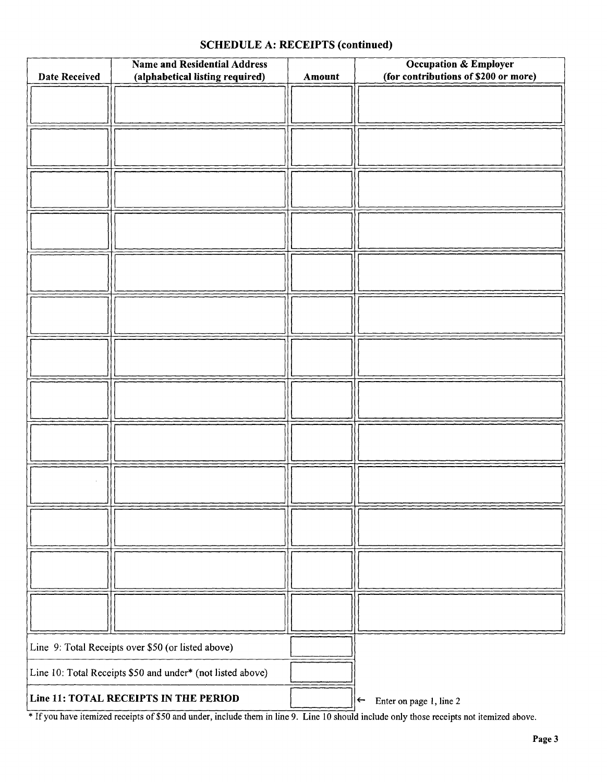# SCHEDULE A: RECEIPTS (continued)

| <b>Date Received</b>                                       | <b>Name and Residential Address</b><br>(alphabetical listing required) | Amount | <b>Occupation &amp; Employer</b><br>(for contributions of \$200 or more) |
|------------------------------------------------------------|------------------------------------------------------------------------|--------|--------------------------------------------------------------------------|
|                                                            |                                                                        |        |                                                                          |
|                                                            |                                                                        |        |                                                                          |
|                                                            |                                                                        |        |                                                                          |
|                                                            |                                                                        |        |                                                                          |
|                                                            |                                                                        |        |                                                                          |
|                                                            |                                                                        |        |                                                                          |
|                                                            |                                                                        |        |                                                                          |
|                                                            |                                                                        |        |                                                                          |
|                                                            |                                                                        |        |                                                                          |
|                                                            |                                                                        |        |                                                                          |
|                                                            |                                                                        |        |                                                                          |
|                                                            |                                                                        |        |                                                                          |
|                                                            |                                                                        |        |                                                                          |
|                                                            |                                                                        |        |                                                                          |
| Line 9: Total Receipts over \$50 (or listed above)         |                                                                        |        |                                                                          |
| Line 10: Total Receipts \$50 and under* (not listed above) |                                                                        |        |                                                                          |
| Line 11: TOTAL RECEIPTS IN THE PERIOD                      |                                                                        |        | Enter on page 1, line 2<br>$\leftarrow$                                  |

<sup>\*</sup> If you have itemized receipts of \$50 and under, include them in line 9. Line 10 should include only those receipts not itemized above.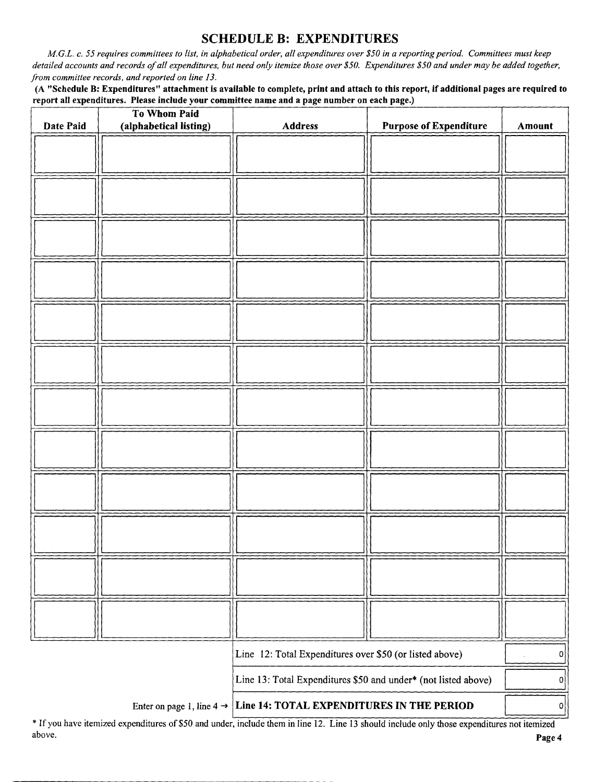# SCHEDULE B: EXPENDITURES

M.G.L. c. 55 requires committees to list, in alphabetical order, all expenditures over\$ 50 in a reporting period. Committees must keep detailed accounts and records of all expenditures, but need only itemize those over \$50. Expenditures \$50 and under may be added together, from committee records, and reported on line 13.

A " Schedule B: Expenditures" attachment is available to complete, print and attach to this report, if additional pages are required to report all expenditures. Please include your committee name and a page number on each page.)

| Date Paid                                                                          | To Whom Paid<br>(alphabetical listing) | Address | <b>Purpose of Expenditure</b> | <b>Amount</b> |
|------------------------------------------------------------------------------------|----------------------------------------|---------|-------------------------------|---------------|
|                                                                                    |                                        |         |                               |               |
|                                                                                    |                                        |         |                               |               |
|                                                                                    |                                        |         |                               |               |
|                                                                                    |                                        |         |                               |               |
|                                                                                    |                                        |         |                               |               |
|                                                                                    |                                        |         |                               |               |
|                                                                                    |                                        |         |                               |               |
|                                                                                    |                                        |         |                               |               |
|                                                                                    |                                        |         |                               |               |
|                                                                                    |                                        |         |                               |               |
|                                                                                    |                                        |         |                               |               |
|                                                                                    |                                        |         |                               |               |
|                                                                                    |                                        |         |                               |               |
|                                                                                    |                                        |         |                               |               |
|                                                                                    |                                        |         |                               |               |
|                                                                                    |                                        |         |                               |               |
|                                                                                    |                                        |         |                               |               |
|                                                                                    |                                        |         |                               |               |
|                                                                                    |                                        |         |                               |               |
| Line 12: Total Expenditures over \$50 (or listed above)                            |                                        |         | $\mathsf{o}$                  |               |
| Line 13: Total Expenditures \$50 and under* (not listed above)                     |                                        |         | 0                             |               |
| Line 14: TOTAL EXPENDITURES IN THE PERIOD<br>Enter on page 1, line 4 $\rightarrow$ |                                        |         | 0                             |               |

If you have itemized expenditures of\$ <sup>50</sup> and under, include them in line 12. Line <sup>13</sup> should include only those expenditures not itemized above. **Page 4** and the set of the set of the set of the set of the set of the set of the set of the set of the set of the set of the set of the set of the set of the set of the set of the set of the set of the set of the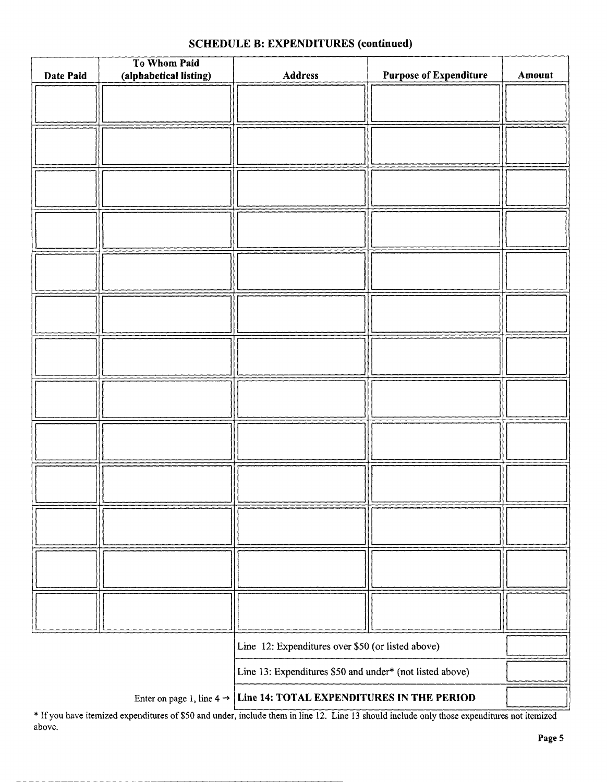# To Whom Paid Date Paid (alphabetical listing) Address | Purpose of Expenditure | Amount Line 12: Expenditures over \$50 (or listed above) Line 13: Expenditures \$50 and under\* (not listed above)

## SCHEDULE B: EXPENDITURES (continued)

Enter on page 1, line  $4 \rightarrow$  Line 14: TOTAL EXPENDITURES IN THE PERIOD

If you have itemized expenditures of\$50 and under, include them in line 12. Line <sup>13</sup> should include only those expenditures not itemized above.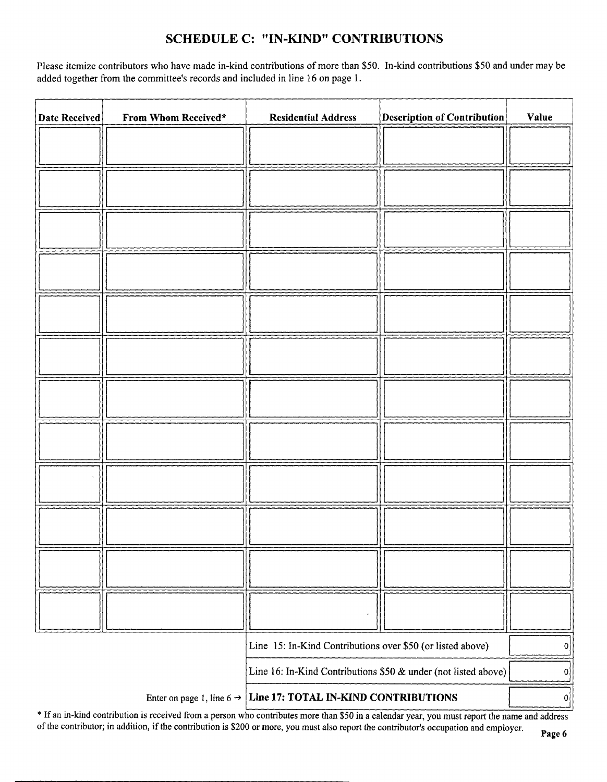# SCHEDULE C: " IN-KIND" CONTRIBUTIONS

Please itemize contributors who have made in-kind contributions of more than \$50. In-kind contributions \$50 and under may be added together from the committee's records and included in line 16 on page 1.

| <b>Date Received</b>                                                          | From Whom Received* | <b>Residential Address</b>                                 | <b>Description of Contribution</b> | Value |
|-------------------------------------------------------------------------------|---------------------|------------------------------------------------------------|------------------------------------|-------|
|                                                                               |                     |                                                            |                                    |       |
|                                                                               |                     |                                                            |                                    |       |
|                                                                               |                     |                                                            |                                    |       |
|                                                                               |                     |                                                            |                                    |       |
|                                                                               |                     |                                                            |                                    |       |
|                                                                               |                     |                                                            |                                    |       |
|                                                                               |                     |                                                            |                                    |       |
|                                                                               |                     |                                                            |                                    |       |
|                                                                               |                     |                                                            |                                    |       |
|                                                                               |                     |                                                            |                                    |       |
|                                                                               |                     |                                                            |                                    |       |
|                                                                               |                     |                                                            |                                    |       |
|                                                                               |                     |                                                            |                                    |       |
|                                                                               |                     |                                                            |                                    |       |
|                                                                               |                     |                                                            |                                    |       |
|                                                                               |                     |                                                            |                                    |       |
|                                                                               |                     |                                                            |                                    |       |
|                                                                               |                     |                                                            |                                    |       |
|                                                                               |                     | Line 15: In-Kind Contributions over \$50 (or listed above) |                                    | 0     |
| Line 16: In-Kind Contributions \$50 & under (not listed above)                |                     |                                                            | 0                                  |       |
| Line 17: TOTAL IN-KIND CONTRIBUTIONS<br>Enter on page 1, line 6 $\rightarrow$ |                     |                                                            | 0                                  |       |

\* If an in-kind contribution is received from a person who contributes more than \$50 in a calendar year, you must report the name and address of the contributor; in addition, if the contribution is \$200 or more, you must also report the contributor's occupation and employer.